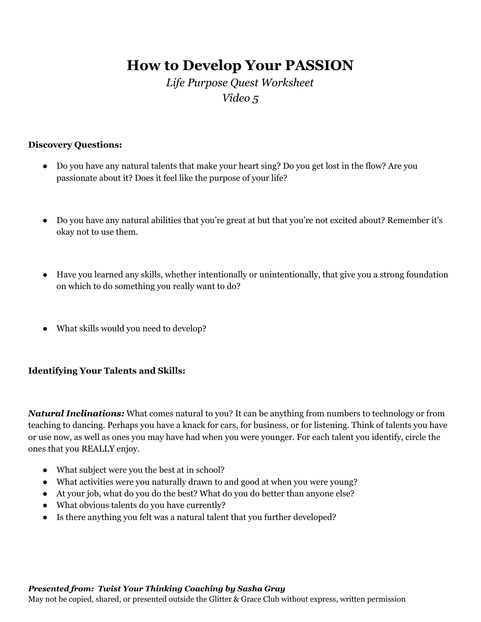# **How to Develop Your PASSION**

## *Life Purpose Quest Worksheet Video 5*

## **Discovery Questions:**

- Do you have any natural talents that make your heart sing? Do you get lost in the flow? Are you passionate about it? Does it feel like the purpose of your life?
- Do you have any natural abilities that you're great at but that you're not excited about? Remember it's okay not to use them.
- Have you learned any skills, whether intentionally or unintentionally, that give you a strong foundation on which to do something you really want to do?
- What skills would you need to develop?

## **Identifying Your Talents and Skills:**

*Natural Inclinations:* What comes natural to you? It can be anything from numbers to technology or from teaching to dancing. Perhaps you have a knack for cars, for business, or for listening. Think of talents you have or use now, as well as ones you may have had when you were younger. For each talent you identify, circle the ones that you REALLY enjoy.

- What subject were you the best at in school?
- What activities were you naturally drawn to and good at when you were young?
- At your job, what do you do the best? What do you do better than anyone else?
- What obvious talents do you have currently?
- Is there anything you felt was a natural talent that you further developed?

#### *Presented from: Twist Your Thinking Coaching by Sasha Gray*

May not be copied, shared, or presented outside the Glitter & Grace Club without express, written permission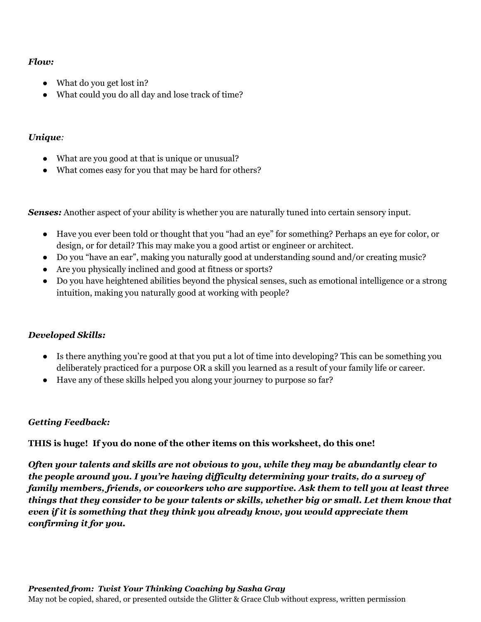## *Flow:*

- What do you get lost in?
- What could you do all day and lose track of time?

## *Unique:*

- What are you good at that is unique or unusual?
- What comes easy for you that may be hard for others?

*Senses:* Another aspect of your ability is whether you are naturally tuned into certain sensory input.

- Have you ever been told or thought that you "had an eye" for something? Perhaps an eye for color, or design, or for detail? This may make you a good artist or engineer or architect.
- Do you "have an ear", making you naturally good at understanding sound and/or creating music?
- Are you physically inclined and good at fitness or sports?
- Do you have heightened abilities beyond the physical senses, such as emotional intelligence or a strong intuition, making you naturally good at working with people?

## *Developed Skills:*

- Is there anything you're good at that you put a lot of time into developing? This can be something you deliberately practiced for a purpose OR a skill you learned as a result of your family life or career.
- Have any of these skills helped you along your journey to purpose so far?

## *Getting Feedback:*

**THIS is huge! If you do none of the other items on this worksheet, do this one!**

*Often your talents and skills are not obvious to you, while they may be abundantly clear to the people around you. I you're having dif iculty determining your traits, do a survey of family members, friends, or coworkers who are supportive. Ask them to tell you at least three things that they consider to be your talents or skills, whether big or small. Let them know that even if it is something that they think you already know, you would appreciate them confirming it for you.*